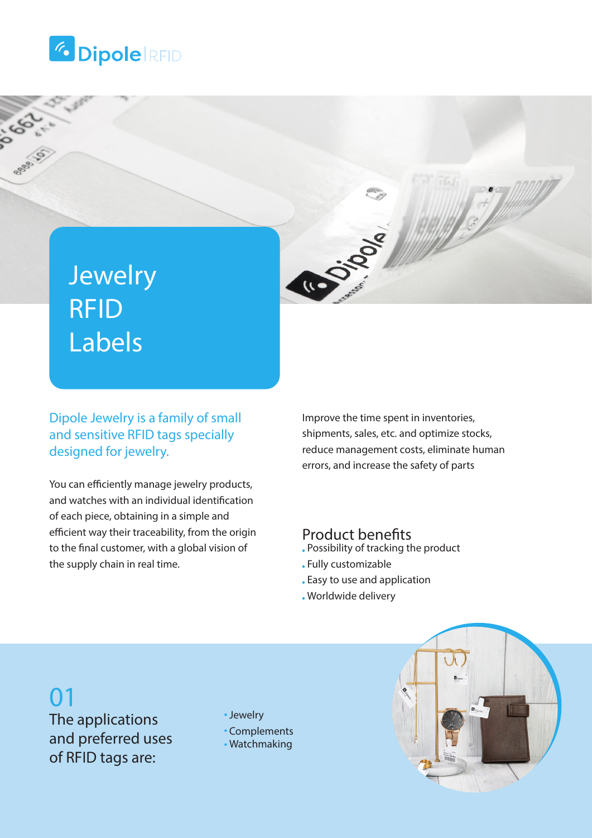



## Jewelry RFID Labels

Dipole Jewelry is a family of small and sensitive RFID tags specially designed for jewelry.

You can efficiently manage jewelry products, and watches with an individual identification of each piece, obtaining in a simple and efficient way their traceability, from the origin to the final customer, with a global vision of the supply chain in real time.

Improve the time spent in inventories, shipments, sales, etc. and optimize stocks, reduce management costs, eliminate human errors, and increase the safety of parts

#### Product benefits

- Possibility of tracking the product
- Fully customizable
- Easy to use and application
- Worldwide delivery

## 01

The applications and preferred uses of RFID tags are:

Jewelry

- Complements
- Watchmaking